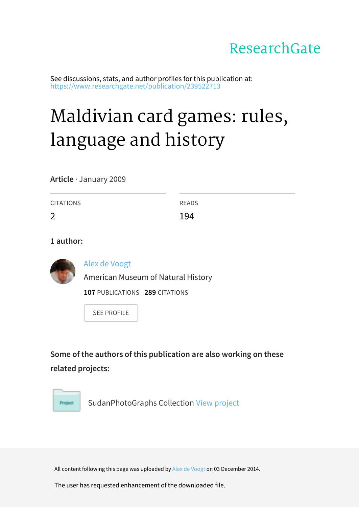# ResearchGate

See discussions, stats, and author profiles for this publication at: https://www.researchgate.net/publication/239522713

# Maldivian card games: rules, language and history

**Article** · January 2009

| CITATIONS      | <b>READS</b> |
|----------------|--------------|
| $\overline{2}$ | 194          |

**1 author:**



Alex de Voogt

American Museum of Natural History

**107 PUBLICATIONS 289 CITATIONS** 

**SEE PROFILE** 

Some of the authors of this publication are also working on these **related projects:**



SudanPhotoGraphs Collection View project

All content following this page was uploaded by Alex de Voogt on 03 December 2014.

The user has requested enhancement of the downloaded file.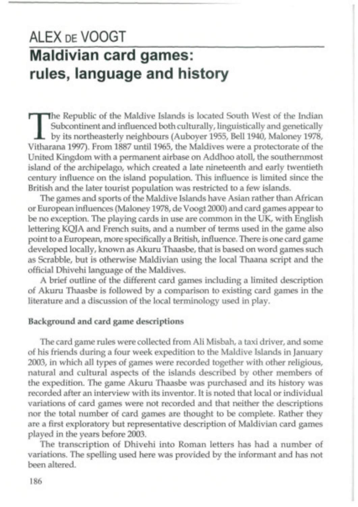# **ALEX DE VOOGT Maldivian card games: rules, language and history**

The Republic of the Maldive Islands is located South West of the Indian Subcontinent and influenced both culturally, linguistically and genetically by its northeasterly neighbours (Auboyer 1955, Bell 1940, Maloney 1978, Vi The Republic of the Maldive Islands is located South West of the Indian Subcontinent and influenced both culturally, linguistically and genetically by its northeasterly neighbours (Auboyer 1955, Bell 1940, Maloney 1978, United Kingdom with a permanent airbase on Addhoo atoll, the southernmost island of the archipelago, which created a late nineteenth and early twentieth century influence on the island population. This influence is limited since the British and the later tourist population was restricted to a few islands.

The games and sports of the Maldive Islands have Asian rather than African or European influences (Maloney 1978, de Voogt 2000) and card games appear to be no exception. The playing cards in use are common in the UK, with English lettering KQJA and French suits, and a number of terms used in the game also point to a European, more specifically a British, influence. There is one card game developed locally, known as Akuru Thaasbe, that is based on word games such as Scrabble, but is otherwise Maldivian using the local Thaana script and the official Dhivehi language of the Maldives.

A brief outline of the different card games including a limited description of Akuru Thaasbe is followed by a comparison to existing card games in the literature and a discussion of the local terminology used in play.

#### **Background and card game descriptions**

The card game rules were collected from Ali Misbah, a taxi driver, and some of his friends during a four week expedition to the Maldive Islands in January 2003, in which all types of games were recorded together with other religious, natural and cultural aspects of the islands described by other members of the expedition. The game Akuru Thaasbe was purchased and its history was recorded after an interview with its inventor. It is noted that local or individual variations of card games were not recorded and that neither the descriptions nor the total number of card games are thought to be complete. Rather they are a first exploratory but representative description of Maldivian card games played in the years before 2003.

The transcription of Dhivehi into Roman letters has had a number of variations. The spelling used here was provided by the informant and has not been altered.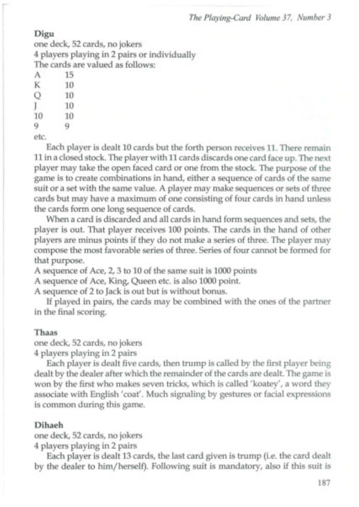*The Playing-Card Volume 37, Number 3*

#### **Digu**

one deck, 52 cards, no jokers 4 players playing in 2 pairs or individually The cards are valued as follows:

**A** 15 **K** 10 **Q** 10 **.1** 10 10 10 G)

Q

etc.

Each player is dealt 10 cards but the forth person receives 11. There remain 11 in a closed stock. The player with 11 cards discards one card face up. The next player may take the open faced card or one from the stock. The purpose of the game is to create combinations in hand, either a sequence of cards of the same suit or a set with the same value. A player may make sequences or sets of three cards but may have a maximum of one consisting of four cards in hand unless the cards form one long sequence of cards.

When a card is discarded and all cards in hand form sequences and sets, the player is out. That player receives 100 points. The cards in the hand of other players are minus points if they do not make a series of three. The player may compose the most favorable series of three. Series of four cannot be formed for that purpose.

A sequence of Ace, 2, 3 to 10 of the same suit is 1000 points

A sequence of Ace, King, Queen etc. is also 1000 point.

A sequence of 2 to Jack is out but is without bonus.

If played in pairs, the cards may be combined with the ones of the partner in the final scoring.

#### Thaas

one deck, 52 cards, no jokers 4 players playing in 2 pairs

Each player is dealt five cards, then trump is called by the first player being dealt by the dealer after which the remainder of the cards are dealt. The game is won by the first who makes seven tricks, which is called 'koatey', a word they associate with English 'coat'. Much signaling by gestures or facial expressions is common during this game.

#### **Dihaeh**

one deck, 52 cards, no jokers

4 players playing in 2 pairs

Each player is dealt 13 cards, the last card given is trump (i.e. the card dealt by the dealer to him/herself). Following suit is mandatory, also if this suit is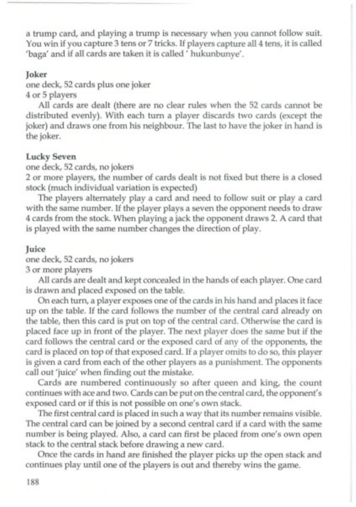a trump card, and playing a trump is necessary when you cannot follow suit. You win if you capture 3 tens or 7 tricks. If players capture all 4 tens, it is called 'baga' and if all cards are taken it is called ' hukunbunye'.

#### **Joker**

one deck, 52 cards plus one joker 4 or 5 players

All cards are dealt (there are no clear rules when the 52 cards cannot be distributed evenly). With each turn a player discards two cards (except the joker) and draws one from his neighbour. The last to have the joker in hand is the joker.

## **Lucky Seven**

one deck, 52 cards, no jokers

2 or more players, the number of cards dealt is not fixed but there is a closed stock (much individual variation is expected)

The players alternately play a card and need to follow suit or play a card with the same number. If the player plays a seven the opponent needs to draw 4 cards from the stock. When playing a jack the opponent draws 2. A card that is played with the same number changes the direction of play.

#### **Juice**

one deck, 52 cards, no jokers

3 or more players

All cards are dealt and kept concealed in the hands of each player. One card is drawn and placed exposed on the table.

On each turn, a player exposes one of the cards in his hand and places it face up on the table. If the card follows the number of the central card already on the table, then this card is put on top of the central card. Otherwise the card is placed face up in front of the player. The next player does the same but if the card follows the central card or the exposed card of any of the opponents, the card is placed on top of that exposed card. If a player omits to do so, this player is given a card from each of the other players as a punishment. The opponents call out 'juice' when finding out the mistake.

Cards are numbered continuously so after queen and king, the count continues with ace and two. Cards can be put on the central card, the opponent's exposed card or if this is not possible on one's own stack.

The first central card is placed in such a way that its number remains visible. The central card can be joined by a second central card if a card with the same number is being played. Also, a card can first be placed from one's own open stack to the central stack before drawing a new card.

Once the cards in hand are finished the player picks up the open stack and continues play until one of the players is out and thereby wins the game.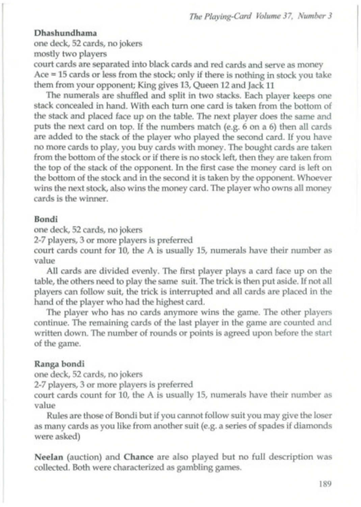*The Playing-Card Volume 37, Number 3*

#### **Dhashundhama**

one deck, 52 cards, no jokers mostly two players court cards are separated into black cards and red cards and serve as money Ace = 15 cards or less from the stock; only if there is nothing in stock you take them from your opponent; King gives 13, Queen 12 and Jack 11

The numerals are shuffled and split in two stacks. Each player keeps one stack concealed in hand. With each turn one card is taken from the bottom of the stack and placed face up on the table. The next player does the same and puts the next card on top. If the numbers match (e.g. 6 on a 6) then all cards are added to the stack of the player who played the second card. If you have no more cards to play, you buy cards with money. The bought cards are taken from the bottom of the stock or if there is no stock left, then they are taken from the top of the stack of the opponent. In the first case the money card is left on the bottom of the stock and in the second it is taken by the opponent. Whoever wins the next stock, also wins the money card. The player who owns all money cards is the winner.

#### **Bondi**

one deck, 52 cards, no jokers

2-7 players, 3 or more players is preferred

court cards count for 10, the A is usually 15, numerals have their number as value

All cards are divided evenly. The first player plays a card face up on the table, the others need to play the same suit. The trick is then put aside. If not all players can follow suit, the trick is interrupted and all cards are placed in the hand of the player who had the highest card.

The player who has no cards anymore wins the game. The other players continue. The remaining cards of the last player in the game are counted and written down. The number of rounds or points is agreed upon before the start of the game.

#### **Ranga bondi**

one deck, 52 cards, no jokers

2-7 players, 3 or more players is preferred

court cards count for 10, the A is usually 15, numerals have their number as value

Rules are those of Bondi but if you cannot follow suit you may give the loser as many cards as you like from another suit (e.g. a series of spades if diamonds were asked)

**Neelan** (auction) and **Chance** are also played but no full description was collected. Both were characterized as gambling games.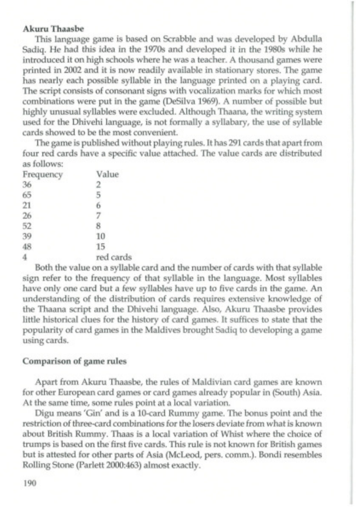#### **Akuru Thaasbe**

This language game is based on Scrabble and was developed by Abdulla Sadiq. He had this idea in the 1970s and developed it in the 1980s while he introduced it on high schools where he was a teacher. A thousand games were printed in 2002 and it is now readily available in stationary stores. The game has nearly each possible syllable in the language printed on a playing card. The script consists of consonant signs with vocalization marks for which most combinations were put in the game (DeSilva 1969). A number of possible but highly unusual syllables were excluded. Although Thaana, the writing system used for the Dhivehi language, is not formally a syllabary, the use of syllable cards showed to be the most convenient.

The game is published without playing rules. It has 291 cards that apart from four red cards have a specific value attached. The value cards are distributed as follows:

| Frequency | Value     |
|-----------|-----------|
| 36        | 2         |
| 65        | 5         |
| 21        | 6         |
| 26        | 7         |
| 52        | 8         |
| 39        | 10        |
| 48        | 15        |
| 4         | red cards |

Both the value on a syllable card and the number of cards with that syllable sign refer to the frequency of that syllable in the language. Most syllables have only one card but a few syllables have up to five cards in the game. An understanding of the distribution of cards requires extensive knowledge of the Thaana script and the Dhivehi language. Also, Akuru Thaasbe provides little historical clues for the history of card games. It suffices to state that the popularity of card games in the Maldives brought Sadiq to developing a game using cards.

#### **Comparison of game rules**

Apart from Akuru Thaasbe, the rules of Maldivian card games are known for other European card games or card games already popular in (South) Asia. At the same time, some rules point at a local variation.

Digu means 'Gin' and is a 10-card Rummy game. The bonus point and the restriction of three-card combinations for the losers deviate from what is known about British Rummy. Thaas is a local variation of Whist where the choice of trumps is based on the first five cards. This rule is not known for British games but is attested for other parts of Asia (McLeod, pers. comm.). Bondi resembles Rolling Stone (Parlett 2000:463) almost exactly.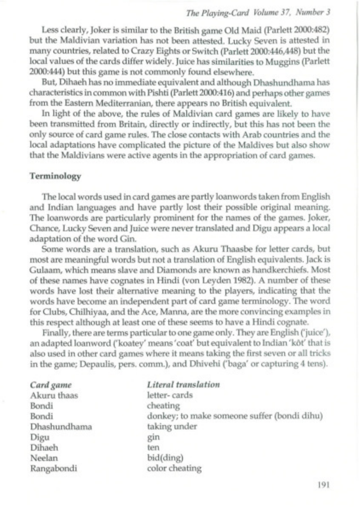## *The Playing-Card Volume 37, Number 3*

Less clearly, Joker is similar to the British game Old Maid (Parlett 2000:482) but the Maldivian variation has not been attested. Lucky Seven is attested in many countries, related to Crazy Eights or Switch (Parlett 2000:446,448) but the local values of the cards differ widely. Juice has similarities to Muggins (Parlett 2000:444) but this game is not commonly found elsewhere.

But, Dihaeh has no immediate equivalent and although Dhashundhama has characteristics in common with Pishti (Parlett 2000:416) and perhaps other games from the Eastern Mediterranian, there appears no British equivalent.

In light of the above, the rules of Maldivian card games are likely to have been transmitted from Britain, directly or indirectly, but this has not been the only source of card game rules. The close contacts with Arab countries and the local adaptations have complicated the picture of the Maldives but also show that the Maldivians were active agents in the appropriation of card games.

#### Terminology

The local words used in card games are partly loanwords taken from English and Indian languages and have partly lost their possible original meaning. The loanwords are particularly prominent for the names of the games. Joker, Chance, Lucky Seven and Juice were never translated and Digu appears a local adaptation of the word Gin.

Some words are a translation, such as Akuru Thaasbe for letter cards, but most are meaningful words but not a translation of English equivalents. Jack is Gulaam, which means slave and Diamonds are known as handkerchiefs. Most of these names have cognates in Hindi (von Ley den 1982). A number of these words have lost their alternative meaning to the players, indicating that the words have become an independent part of card game terminology. The word for Clubs, Chilhiyaa, and the Ace, Manna, are the more convincing examples in this respect although at least one of these seems to have a Hindi cognate.

Finally, there are terms particular to one game only. They are English ('juice'), an adapted loanword ('koatey' means 'coat' but equivalent to Indian 'kôt' that is also used in other card games where it means taking the first seven or all tricks in the game; Depaulis, pers. comm.), and Dhivehi ('baga' or capturing 4 tens).

| Card game    | <b>Literal</b> translation                  |
|--------------|---------------------------------------------|
| Akuru thaas  | letter-cards                                |
| Bondi        | cheating                                    |
| Bondi        | donkey; to make someone suffer (bondi dihu) |
| Dhashundhama | taking under                                |
| Digu         | gin                                         |
| Dihaeh       | ten                                         |
| Neelan       | bid(ding)                                   |
| Rangabondi   | color cheating                              |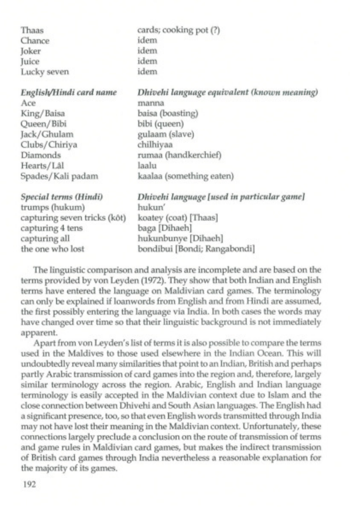| <b>LIERS</b>                 | emma cooping bot (1)                        |
|------------------------------|---------------------------------------------|
| Chance                       | idem                                        |
| Joker                        | idem                                        |
| Juice                        | idem                                        |
| Lucky seven                  | idem                                        |
| English/Hindi card name      | Dhivehi language equivalent (known meaning) |
| Ace                          | manna                                       |
| King/Baisa                   | baisa (boasting)                            |
| Queen/Bibi                   | bibi (queen)                                |
| Jack/Ghulam                  | gulaam (slave)                              |
| Clubs/Chiriya                | chilhiyaa                                   |
| Diamonds                     | rumaa (handkerchief)                        |
| Hearts/Lâl                   | laalu                                       |
| Spades/Kali padam            | kaalaa (something eaten)                    |
| Special terms (Hindi)        | Dhivehi language [used in particular game]  |
| trumps (hukum)               | hukun'                                      |
| capturing seven tricks (kôt) | koatey (coat) [Thaas]                       |
| capturing 4 tens             | baga [Dihaeh]                               |
| capturing all                | hukunbunye [Dihaeh]                         |
|                              |                                             |

cards; cooking pot (?)

The linguistic comparison and analysis are incomplete and are based on the terms provided by von Leyden (1972). They show that both Indian and English terms have entered the language on Maldivian card games. The terminology can only be explained if loanwords from English and from Hindi are assumed, the first possibly entering the language via India. In both cases the words may have changed over time so that their linguistic background is not immediately apparent.

bondibui [Bondi; Rangabondi]

Apart from von Ley den's list of terms it is also possible to compare the terms used in the Maldives to those used elsewhere in the Indian Ocean. This will undoubtedly reveal many similarities that point to an Indian, British and perhaps partly Arabic transmission of card games into the region and, therefore, largely similar terminology across the region. Arabic, English and Indian language terminology is easily accepted in the Maldivian context due to Islam and the close connection between Dhivehi and South Asian languages. The English had a significant presence, too, so that even English words transmitted through India may not have lost their meaning in the Maldivian context. Unfortunately, these connections largely preclude a conclusion on the route of transmission of terms and game rules in Maldivian card games, but makes the indirect transmission of British card games through India nevertheless a reasonable explanation for the majority of its games.

Thaas

the one who lost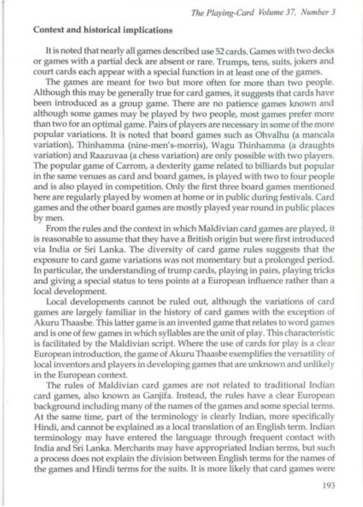## **Context and historical implications**

It is noted that nearly all games described use 52 cards. Games with two decks or games with a partial deck are absent or rare. Trumps, tens, suits, jokers and court cards each appear with a special function in at least one of the games.

The games are meant for two but more often for more than two people. Although this may be generally true for card games, it suggests that cards have been introduced as a group game. There are no patience games known and although some games may be played by two people, most games prefer more than two for an optimal game. Pairs of players are necessary in some of the more popular variations. It is noted that board games such as Ohvalhu (a mancala variation), Thinhamma (nine-men's-morris), Wagu Thinhamma (a draughts variation) and Raazuvaa (a chess variation) are only possible with two players. The popular game of Carrom, a dexterity game related to billiards but popular in the same venues as card and board games, is played with two to four people and is also played in competition. Only the first three board games mentioned here are regularly played by women at home or in public during festivals. Card games and the other board games are mostly played year round in public places by men.

From the rules and the context in which Maldivian card games are played, it is reasonable to assume that they have a British origin but were first introduced via India or Sri Lanka. The diversity of card game rules suggests that the exposure to card game variations was not momentary but a prolonged period. In particular, the understanding of trump cards, playing in pairs, playing tricks and giving a special status to tens points at a European influence rather than a local development.

Local developments cannot be ruled out, although the variations of card games are largely familiar in the history of card games with the exception of Akuru Thaasbe. This latter game is an invented game that relates to word games and is one of few games in which syllables are the unit of play. This characteristic is facilitated by the Maldivian script. Where the use of cards for play is a clear European introduction, the game of Akuru Thaasbe exemplifies the versatility of local inventors and players in developing games that are unknown and unlikely in the European context.

The rules of Maldivian card games are not related to traditional Indian card games, also known as Ganjifa. Instead, the rules have a clear European background including many of the names of the games and some special terms. At the same time, part of the terminology is clearly Indian, more specifically Hindi, and cannot be explained as a local translation of an English term. Indian terminology may have entered the language through frequent contact with India and Sri Lanka. Merchants may have appropriated Indian terms, but such a process does not explain the division between English terms for the names of the games and Hindi terms for the suits. It is more likely that card games were